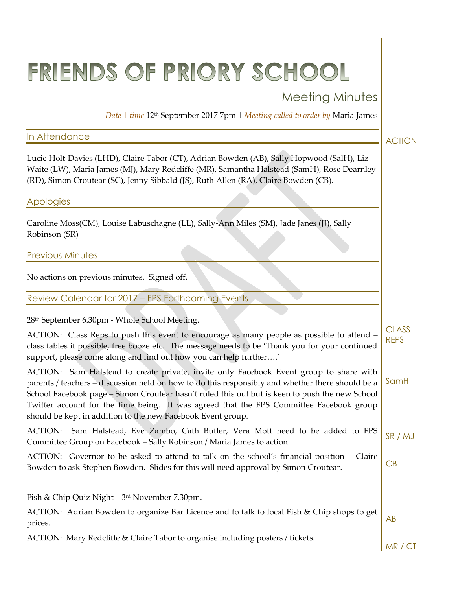# FRIENDS OF PRIORY SCHOOL

# Meeting Minutes

ACTION

*Date | time* 12th September 2017 7pm | *Meeting called to order by* Maria James

#### In Attendance

Lucie Holt-Davies (LHD), Claire Tabor (CT), Adrian Bowden (AB), Sally Hopwood (SalH), Liz Waite (LW), Maria James (MJ), Mary Redcliffe (MR), Samantha Halstead (SamH), Rose Dearnley (RD), Simon Croutear (SC), Jenny Sibbald (JS), Ruth Allen (RA), Claire Bowden (CB).

#### Apologies

Caroline Moss(CM), Louise Labuschagne (LL), Sally-Ann Miles (SM), Jade Janes (JJ), Sally Robinson (SR)

#### Previous Minutes

No actions on previous minutes. Signed off.

Review Calendar for 2017 – FPS Forthcoming Events

## 28th September 6.30pm - Whole School Meeting.

ACTION: Class Reps to push this event to encourage as many people as possible to attend – class tables if possible, free booze etc. The message needs to be 'Thank you for your continued support, please come along and find out how you can help further….' **CLASS** REPS

ACTION: Sam Halstead to create private, invite only Facebook Event group to share with parents / teachers – discussion held on how to do this responsibly and whether there should be a School Facebook page – Simon Croutear hasn't ruled this out but is keen to push the new School Twitter account for the time being. It was agreed that the FPS Committee Facebook group should be kept in addition to the new Facebook Event group. SamH

ACTION: Sam Halstead, Eve Zambo, Cath Butler, Vera Mott need to be added to FPS Committee Group on Facebook – Sally Robinson / Maria James to action. SR / MJ

ACTION: Governor to be asked to attend to talk on the school's financial position – Claire Bowden to ask Stephen Bowden. Slides for this will need approval by Simon Croutear. CB

## <u>Fish & Chip Quiz Night – 3rd November 7.30pm.</u>

ACTION: Adrian Bowden to organize Bar Licence and to talk to local Fish & Chip shops to get prices.

ACTION: Mary Redcliffe & Claire Tabor to organise including posters / tickets.

AB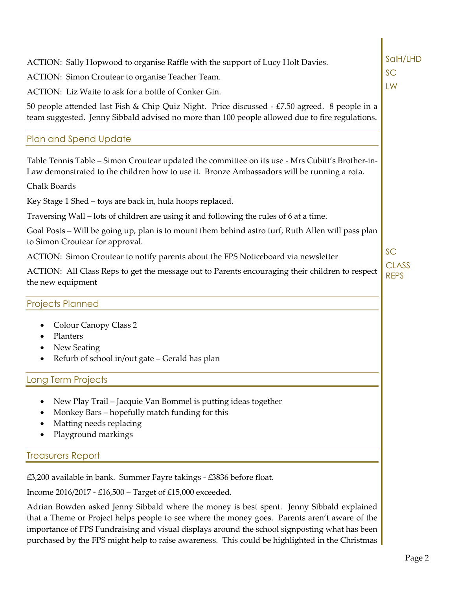| ACTION: Sally Hopwood to organise Raffle with the support of Lucy Holt Davies.                                                                                                                    | SalH/LHD                    |
|---------------------------------------------------------------------------------------------------------------------------------------------------------------------------------------------------|-----------------------------|
| ACTION: Simon Croutear to organise Teacher Team.                                                                                                                                                  | SC                          |
| ACTION: Liz Waite to ask for a bottle of Conker Gin.                                                                                                                                              | LW                          |
| 50 people attended last Fish & Chip Quiz Night. Price discussed - $£7.50$ agreed. 8 people in a<br>team suggested. Jenny Sibbald advised no more than 100 people allowed due to fire regulations. |                             |
| <b>Plan and Spend Update</b>                                                                                                                                                                      |                             |
| Table Tennis Table – Simon Croutear updated the committee on its use - Mrs Cubitt's Brother-in-<br>Law demonstrated to the children how to use it. Bronze Ambassadors will be running a rota.     |                             |
| Chalk Boards                                                                                                                                                                                      |                             |
| Key Stage 1 Shed – toys are back in, hula hoops replaced.                                                                                                                                         |                             |
| Traversing Wall – lots of children are using it and following the rules of 6 at a time.                                                                                                           |                             |
| Goal Posts – Will be going up, plan is to mount them behind astro turf, Ruth Allen will pass plan<br>to Simon Croutear for approval.                                                              |                             |
| ACTION: Simon Croutear to notify parents about the FPS Noticeboard via newsletter                                                                                                                 | SC                          |
| ACTION: All Class Reps to get the message out to Parents encouraging their children to respect<br>the new equipment                                                                               | <b>CLASS</b><br><b>REPS</b> |
| <b>Projects Planned</b>                                                                                                                                                                           |                             |
| <b>Colour Canopy Class 2</b><br>Planters<br>New Seating<br>Refurb of school in/out gate – Gerald has plan                                                                                         |                             |
| Long Term Projects                                                                                                                                                                                |                             |
| New Play Trail - Jacquie Van Bommel is putting ideas together<br>٠<br>Monkey Bars - hopefully match funding for this<br>Matting needs replacing<br>Playground markings                            |                             |
| <b>Treasurers Report</b>                                                                                                                                                                          |                             |
| £3,200 available in bank. Summer Fayre takings - £3836 before float.                                                                                                                              |                             |
| Income 2016/2017 - £16,500 - Target of £15,000 exceeded.                                                                                                                                          |                             |
| Adrian Bowden asked Jenny Sibbald where the money is best spent. Jenny Sibbald explained<br>that a Theme or Project helps people to see where the money goes. Parents aren't aware of the         |                             |

importance of FPS Fundraising and visual displays around the school signposting what has been purchased by the FPS might help to raise awareness. This could be highlighted in the Christmas

Page 2